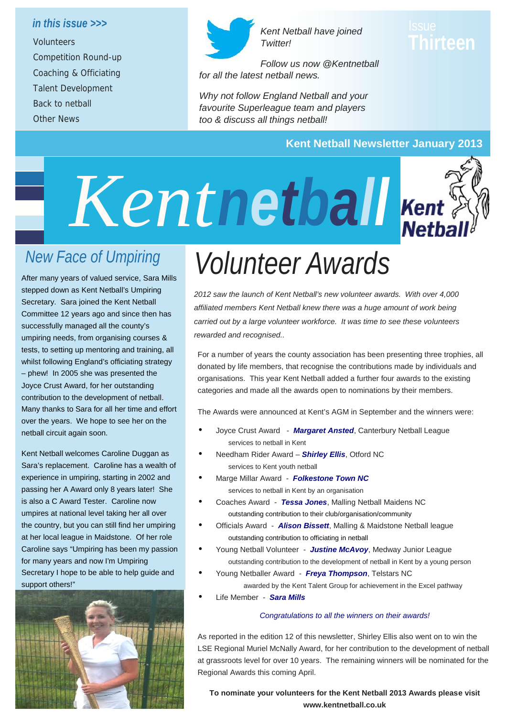#### *in this issue >>>*

*Volunteers Competition Round-up Coaching & Officiating Talent Development Back to netball Other News*



*Kent Netball have joined Twitter!*

# **Thirteen**

*Follow us now @Kentnetball for all the latest netball news.*

*Why not follow England Netball and your favourite Superleague team and players too & discuss all things netball!*

### **Kent Netball Newsletter January 2013**



# *New Face of Umpiring*

After many years of valued service, Sara Mills stepped down as Kent Netball's Umpiring Secretary. Sara joined the Kent Netball Committee 12 years ago and since then has successfully managed all the county's umpiring needs, from organising courses & tests, to setting up mentoring and training, all whilst following England's officiating strategy – phew! In 2005 she was presented the Joyce Crust Award, for her outstanding contribution to the development of netball. Many thanks to Sara for all her time and effort over the years. We hope to see her on the netball circuit again soon.

Kent Netball welcomes Caroline Duggan as Sara's replacement. Caroline has a wealth of experience in umpiring, starting in 2002 and passing her A Award only 8 years later! She is also a C Award Tester. Caroline now umpires at national level taking her all over the country, but you can still find her umpiring at her local league in Maidstone. Of her role Caroline says "Umpiring has been my passion for many years and now I'm Umpiring Secretary I hope to be able to help guide and support others!"



# *Volunteer Awards*

*2012 saw the launch of Kent Netball's new volunteer awards. With over 4,000 affiliated members Kent Netball knew there was a huge amount of work being carried out by a large volunteer workforce. It was time to see these volunteers rewarded and recognised..*

For a number of years the county association has been presenting three trophies, all donated by life members, that recognise the contributions made by individuals and organisations. This year Kent Netball added a further four awards to the existing categories and made all the awards open to nominations by their members.

The Awards were announced at Kent's AGM in September and the winners were:

- Joyce Crust Award *Margaret Ansted*, Canterbury Netball League services to netball in Kent
- Needham Rider Award *Shirley Ellis*, Otford NC services to Kent youth netball
- Marge Millar Award *Folkestone Town NC* services to netball in Kent by an organisation
- Coaches Award *Tessa Jones*, Malling Netball Maidens NC outstanding contribution to their club/organisation/community
- Officials Award *Alison Bissett*, Malling & Maidstone Netball league outstanding contribution to officiating in netball
- Young Netball Volunteer *Justine McAvoy*, Medway Junior League outstanding contribution to the development of netball in Kent by a young person
- Young Netballer Award *Freya Thompson*, Telstars NC awarded by the Kent Talent Group for achievement in the Excel pathway
- Life Member *Sara Mills*

#### *Congratulations to all the winners on their awards!*

As reported in the edition 12 of this newsletter, Shirley Ellis also went on to win the LSE Regional Muriel McNally Award, for her contribution to the development of netball at grassroots level for over 10 years. The remaining winners will be nominated for the Regional Awards this coming April.

**To nominate your volunteers for the Kent Netball 2013 Awards please visit www.kentnetball.co.uk**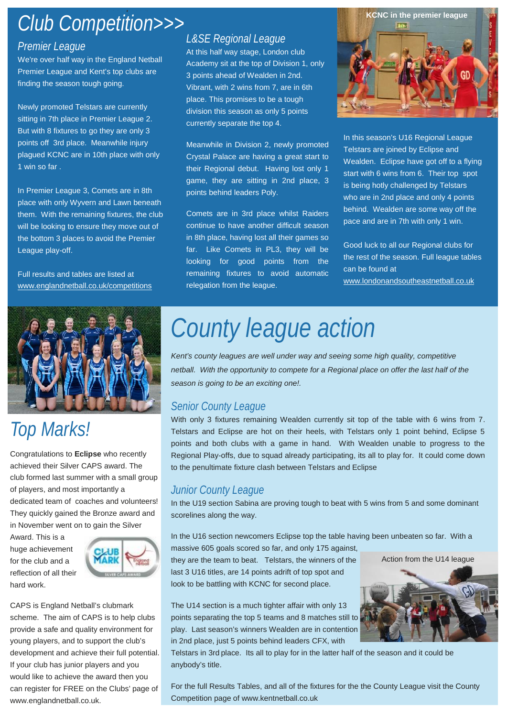### *Club Competition >>> Club Competition>>>*

### *Premier League*

We're over half way in the England Netball Premier League and Kent's top clubs are finding the season tough going.

Newly promoted Telstars are currently sitting in 7th place in Premier League 2. But with 8 fixtures to go they are only 3 points off 3rd place. Meanwhile injury plagued KCNC are in 10th place with only 1 win so far .

In Premier League 3, Comets are in 8th place with only Wyvern and Lawn beneath them. With the remaining fixtures, the club will be looking to ensure they move out of the bottom 3 places to avoid the Premier League play-off.

Full results and tables are listed at www.englandnetball.co.uk/competitions



# *Top Marks!*

Congratulations to **Eclipse** who recently achieved their Silver CAPS award. The club formed last summer with a small group of players, and most importantly a dedicated team of coaches and volunteers! They quickly gained the Bronze award and in November went on to gain the Silver

Award. This is a huge achievement for the club and a reflection of all their hard work.



CAPS is England Netball's clubmark scheme. The aim of CAPS is to help clubs provide a safe and quality environment for young players, and to support the club's development and achieve their full potential. If your club has junior players and you would like to achieve the award then you can register for FREE on the Clubs' page of www.englandnetball.co.uk.

### *L&SE Regional League*

At this half way stage, London club Academy sit at the top of Division 1, only 3 points ahead of Wealden in 2nd. Vibrant, with 2 wins from 7, are in 6th place. This promises to be a tough division this season as only 5 points currently separate the top 4.

Meanwhile in Division 2, newly promoted Crystal Palace are having a great start to their Regional debut. Having lost only 1 game, they are sitting in 2nd place, 3 points behind leaders Poly.

Comets are in 3rd place whilst Raiders continue to have another difficult season in 8th place, having lost all their games so far. Like Comets in PL3, they will be looking for good points from the remaining fixtures to avoid automatic relegation from the league.



In this season's U16 Regional League Telstars are joined by Eclipse and Wealden. Eclipse have got off to a flying start with 6 wins from 6. Their top spot is being hotly challenged by Telstars who are in 2nd place and only 4 points behind. Wealden are some way off the pace and are in 7th with only 1 win.

Good luck to all our Regional clubs for the rest of the season. Full league tables can be found at www.londonandsoutheastnetball.co.uk

# *County league action*

*Kent's county leagues are well under way and seeing some high quality, competitive netball. With the opportunity to compete for a Regional place on offer the last half of the season is going to be an exciting one!.*

### *Senior County League*

With only 3 fixtures remaining Wealden currently sit top of the table with 6 wins from 7. Telstars and Eclipse are hot on their heels, with Telstars only 1 point behind, Eclipse 5 points and both clubs with a game in hand. With Wealden unable to progress to the Regional Play-offs, due to squad already participating, its all to play for. It could come down to the penultimate fixture clash between Telstars and Eclipse

### *Junior County League*

In the U19 section Sabina are proving tough to beat with 5 wins from 5 and some dominant scorelines along the way.

In the U16 section newcomers Eclipse top the table having been unbeaten so far. With a massive 605 goals scored so far, and only 175 against,

they are the team to beat. Telstars, the winners of the last 3 U16 titles, are 14 points adrift of top spot and look to be battling with KCNC for second place.

The U14 section is a much tighter affair with only 13 points separating the top 5 teams and 8 matches still to play. Last season's winners Wealden are in contention in 2nd place, just 5 points behind leaders CFX, with



Telstars in 3rd place. Its all to play for in the latter half of the season and it could be anybody's title.

For the full Results Tables, and all of the fixtures for the the County League visit the County Competition page of www.kentnetball.co.uk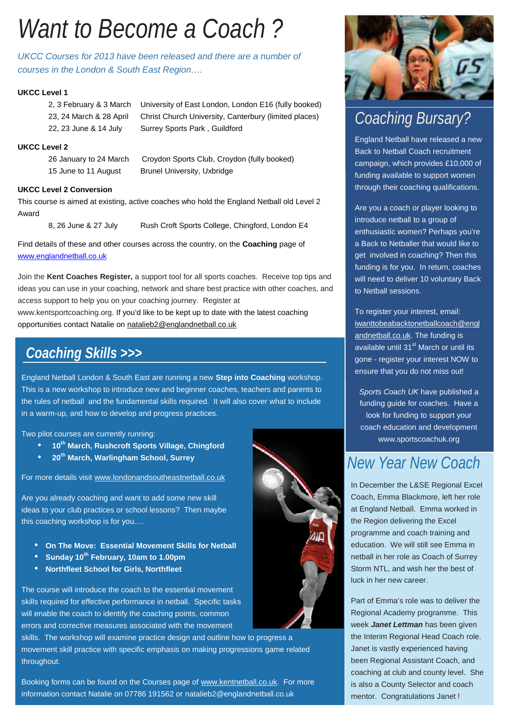# *Want to Become a Coach ?*

*UKCC Courses for 2013 have been released and there are a number of courses in the London & South East Region….*

#### **UKCC Level 1**

2, 3 February & 3 March University of East London, London E16 (fully booked) 23, 24 March & 28 April Christ Church University, Canterbury (limited places) 22, 23 June & 14 July Surrey Sports Park, Guildford

#### **UKCC Level 2**

26 January to 24 March Croydon Sports Club, Croydon (fully booked) 15 June to 11 August Brunel University, Uxbridge

#### **UKCC Level 2 Conversion**

This course is aimed at existing, active coaches who hold the England Netball old Level 2 Award

8, 26 June & 27 July Rush Croft Sports College, Chingford, London E4

Find details of these and other courses across the country, on the **Coaching** page of www.englandnetball.co.uk

Join the **Kent Coaches Register,** a support tool for all sports coaches. Receive top tips and ideas you can use in your coaching, network and share best practice with other coaches, and access support to help you on your coaching journey. Register at www.kentsportcoaching.org. If you'd like to be kept up to date with the latest coaching opportunities contact Natalie on natalieb2@englandnetball.co.uk

### *Coaching Skills >>>*

England Netball London & South East are running a new **Step into Coaching** workshop. This is a new workshop to introduce new and beginner coaches, teachers and parents to the rules of netball and the fundamental skills required. It will also cover what to include in a warm-up, and how to develop and progress practices.

Two pilot courses are currently running:

- **10th March, Rushcroft Sports Village, Chingford**
- **20th March, Warlingham School, Surrey**

For more details visit www.londonandsoutheastnetball.co.uk

Are you already coaching and want to add some new skill ideas to your club practices or school lessons? Then maybe this coaching workshop is for you….

- **On The Move: Essential Movement Skills for Netball**
- **Sunday 10th February, 10am to 1.00pm**
- **Northfleet School for Girls, Northfleet**

The course will introduce the coach to the essential movement skills required for effective performance in netball. Specific tasks will enable the coach to identify the coaching points, common errors and corrective measures associated with the movement

skills. The workshop will examine practice design and outline how to progress a movement skill practice with specific emphasis on making progressions game related throughout.

Booking forms can be found on the Courses page of www.kentnetball.co.uk. For more information contact Natalie on 07786 191562 or natalieb2@englandnetball.co.uk



### *Coaching Bursary?*

England Netball have released a new Back to Netball Coach recruitment campaign, which provides £10,000 of funding available to support women through their coaching qualifications.

Are you a coach or player looking to introduce netball to a group of enthusiastic women? Perhaps you're a Back to Netballer that would like to get involved in coaching? Then this funding is for you. In return, coaches will need to deliver 10 voluntary Back to Netball sessions.

To register your interest, email: iwanttobeabacktonetballcoach@engl andnetball.co.uk. The funding is available until 31<sup>st</sup> March or until its gone - register your interest NOW to ensure that you do not miss out!

*Sports Coach UK* have published a funding guide for coaches. Have a look for funding to support your coach education and development www.sportscoachuk.org

### *New Year New Coach*

In December the L&SE Regional Excel Coach, Emma Blackmore, left her role at England Netball. Emma worked in the Region delivering the Excel programme and coach training and education. We will still see Emma in netball in her role as Coach of Surrey Storm NTL, and wish her the best of luck in her new career.

Part of Emma's role was to deliver the Regional Academy programme. This week *Janet Lettman* has been given the Interim Regional Head Coach role. Janet is vastly experienced having been Regional Assistant Coach, and coaching at club and county level. She is also a County Selector and coach mentor. Congratulations Janet !

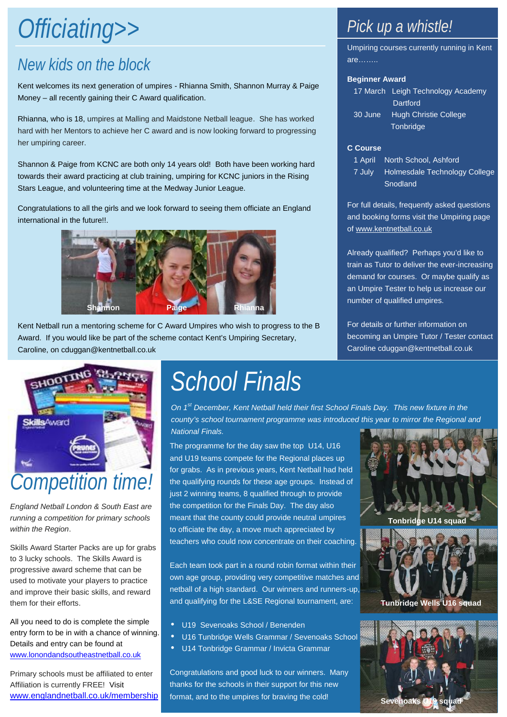# Officiating>> **Pick up a whistle!**

## *New kids on the block*

Kent welcomes its next generation of umpires - Rhianna Smith, Shannon Murray & Paige Money – all recently gaining their C Award qualification.

Rhianna, who is 18, umpires at Malling and Maidstone Netball league. She has worked hard with her Mentors to achieve her C award and is now looking forward to progressing her umpiring career.

Shannon & Paige from KCNC are both only 14 years old! Both have been working hard towards their award practicing at club training, umpiring for KCNC juniors in the Rising Stars League, and volunteering time at the Medway Junior League.

Congratulations to all the girls and we look forward to seeing them officiate an England international in the future!!.



Kent Netball run a mentoring scheme for C Award Umpires who wish to progress to the B Award. If you would like be part of the scheme contact Kent's Umpiring Secretary, Caroline, on cduggan@kentnetball.co.uk



*England Netball London & South East are running a competition for primary schools within the Region*.

Skills Award Starter Packs are up for grabs to 3 lucky schools. The Skills Award is progressive award scheme that can be used to motivate your players to practice and improve their basic skills, and reward them for their efforts.

All you need to do is complete the simple entry form to be in with a chance of winning. Details and entry can be found at www.lonondandsoutheastnetball.co.uk

Primary schools must be affiliated to enter Affiliation is currently FREE! Visit www.englandnetball.co.uk/membership

# *School Finals*

*On 1st December, Kent Netball held their first School Finals Day. This new fixture in the county's school tournament programme was introduced this year to mirror the Regional and National Finals.*

The programme for the day saw the top U14, U16 and U19 teams compete for the Regional places up for grabs. As in previous years, Kent Netball had held the qualifying rounds for these age groups. Instead of just 2 winning teams, 8 qualified through to provide the competition for the Finals Day. The day also meant that the county could provide neutral umpires to officiate the day, a move much appreciated by teachers who could now concentrate on their coaching.

Each team took part in a round robin format within their own age group, providing very competitive matches and netball of a high standard. Our winners and runners-up, and qualifying for the L&SE Regional tournament, are:

- U19 Sevenoaks School / Benenden
- U16 Tunbridge Wells Grammar / Sevenoaks School
- U14 Tonbridge Grammar / Invicta Grammar

Congratulations and good luck to our winners. Many thanks for the schools in their support for this new format, and to the umpires for braving the cold!

Umpiring courses currently running in Kent are……..

#### **Beginner Award**

17 March Leigh Technology Academy **Dartford** 30 June Hugh Christie College **Tonbridge** 

#### **C Course**

1 April North School, Ashford 7 July Holmesdale Technology College Snodland

For full details, frequently asked questions and booking forms visit the Umpiring page of www.kentnetball.co.uk

Already qualified? Perhaps you'd like to train as Tutor to deliver the ever-increasing demand for courses. Or maybe qualify as an Umpire Tester to help us increase our number of qualified umpires.

For details or further information on becoming an Umpire Tutor / Tester contact Caroline cduggan@kentnetball.co.uk



**Tunbridge Wells U16 squad**

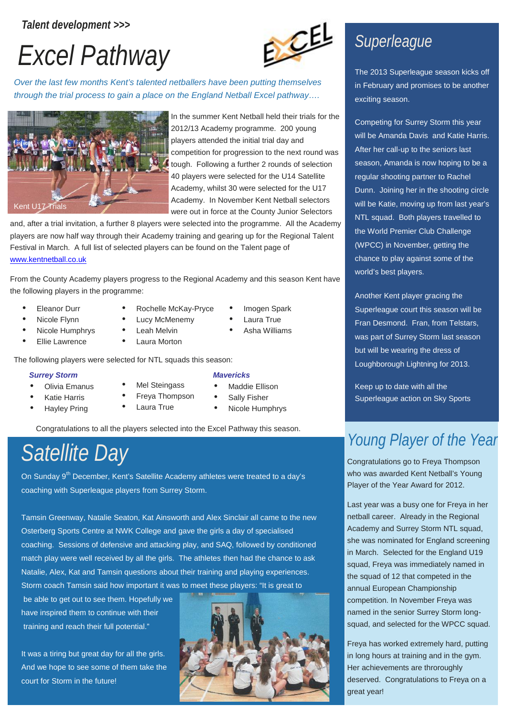### *Talent development >>>*





*Over the last few months Kent's talented netballers have been putting themselves through the trial process to gain a place on the England Netball Excel pathway….*



In the summer Kent Netball held their trials for the 2012/13 Academy programme. 200 young players attended the initial trial day and competition for progression to the next round was tough. Following a further 2 rounds of selection 40 players were selected for the U14 Satellite Academy, whilst 30 were selected for the U17 Academy. In November Kent Netball selectors were out in force at the County Junior Selectors

and, after a trial invitation, a further 8 players were selected into the programme. All the Academy players are now half way through their Academy training and gearing up for the Regional Talent Festival in March. A full list of selected players can be found on the Talent page of www.kentnetball.co.uk

From the County Academy players progress to the Regional Academy and this season Kent have the following players in the programme:

Rochelle McKay-Pryce

- Eleanor Durr
- Nicole Flynn
- Nicole Humphrys •
- Ellie Lawrence
- Lucy McMenemy Leah Melvin
- Laura Morton

The following players were selected for NTL squads this season:

#### *Surrey Storm*

- Olivia Emanus
- Katie Harris
- Hayley Pring
- Mel Steingass
- Freya Thompson
- Laura True
- *Mavericks*
- Maddie Ellison
- Sally Fisher
- Nicole Humphrys

 Imogen Spark • Laura True Asha Williams

Congratulations to all the players selected into the Excel Pathway this season.

# *Satellite Day*

On Sunday 9<sup>th</sup> December, Kent's Satellite Academy athletes were treated to a day's coaching with Superleague players from Surrey Storm.

Tamsin Greenway, Natalie Seaton, Kat Ainsworth and Alex Sinclair all came to the new Osterberg Sports Centre at NWK College and gave the girls a day of specialised coaching. Sessions of defensive and attacking play, and SAQ, followed by conditioned match play were well received by all the girls. The athletes then had the chance to ask Natalie, Alex, Kat and Tamsin questions about their training and playing experiences. Storm coach Tamsin said how important it was to meet these players: "It is great to

be able to get out to see them. Hopefully we have inspired them to continue with their training and reach their full potential."

It was a tiring but great day for all the girls. And we hope to see some of them take the court for Storm in the future!



# *Superleague*

The 2013 Superleague season kicks off in February and promises to be another exciting season.

Competing for Surrey Storm this year will be Amanda Davis and Katie Harris. After her call-up to the seniors last season, Amanda is now hoping to be a regular shooting partner to Rachel Dunn. Joining her in the shooting circle will be Katie, moving up from last year's NTL squad. Both players travelled to the World Premier Club Challenge (WPCC) in November, getting the chance to play against some of the world's best players.

Another Kent player gracing the Superleague court this season will be Fran Desmond. Fran, from Telstars, was part of Surrey Storm last season but will be wearing the dress of Loughborough Lightning for 2013.

Keep up to date with all the Superleague action on Sky Sports

# *Young Player of the Year*

Congratulations go to Freya Thompson who was awarded Kent Netball's Young Player of the Year Award for 2012.

Last year was a busy one for Freya in her netball career. Already in the Regional Academy and Surrey Storm NTL squad. she was nominated for England screening in March. Selected for the England U19 squad, Freya was immediately named in the squad of 12 that competed in the annual European Championship competition. In November Freya was named in the senior Surrey Storm long squad, and selected for the WPCC squad.

Freya has worked extremely hard, putting in long hours at training and in the gym. Her achievements are throroughly deserved. Congratulations to Freya on a great year!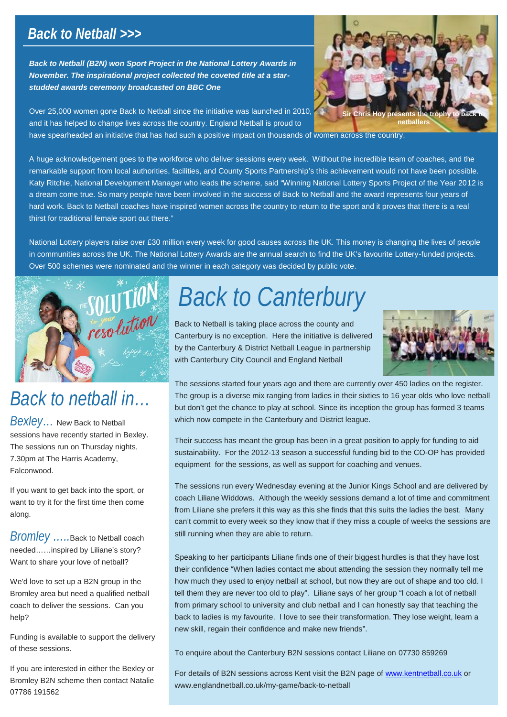### *Back to Netball >>>*

*Back to Netball (B2N) won Sport Project in the National Lottery Awards in November. The inspirational project collected the coveted title at a star studded awards ceremony broadcasted on BBC One*



A huge acknowledgement goes to the workforce who deliver sessions every week. Without the incredible team of coaches, and the remarkable support from local authorities, facilities, and County Sports Partnership's this achievement would not have been possible. Katy Ritchie, National Development Manager who leads the scheme, said "Winning National Lottery Sports Project of the Year 2012 is a dream come true. So many people have been involved in the success of Back to Netball and the award represents four years of hard work. Back to Netball coaches have inspired women across the country to return to the sport and it proves that there is a real thirst for traditional female sport out there."

National Lottery players raise over £30 million every week for good causes across the UK. This money is changing the lives of people in communities across the UK. The National Lottery Awards are the annual search to find the UK's favourite Lottery-funded projects. Over 500 schemes were nominated and the winner in each category was decided by public vote.



# *Back to netball in…*

*Bexley…* New Back to Netball sessions have recently started in Bexley. The sessions run on Thursday nights, 7.30pm at The Harris Academy, Falconwood.

If you want to get back into the sport, or want to try it for the first time then come along.

*Bromley …..*Back to Netball coach needed……inspired by Liliane's story? Want to share your love of netball?

We'd love to set up a B2N group in the Bromley area but need a qualified netball coach to deliver the sessions. Can you help?

Funding is available to support the delivery of these sessions.

If you are interested in either the Bexley or Bromley B2N scheme then contact Natalie 07786 191562

# *Back to Canterbury*

Back to Netball is taking place across the county and Canterbury is no exception. Here the initiative is delivered by the Canterbury & District Netball League in partnership with Canterbury City Council and England Netball



The sessions started four years ago and there are currently over 450 ladies on the register. The group is a diverse mix ranging from ladies in their sixties to 16 year olds who love netball but don't get the chance to play at school. Since its inception the group has formed 3 teams which now compete in the Canterbury and District league.

Their success has meant the group has been in a great position to apply for funding to aid sustainability. For the 2012-13 season a successful funding bid to the CO-OP has provided equipment for the sessions, as well as support for coaching and venues.

The sessions run every Wednesday evening at the Junior Kings School and are delivered by coach Liliane Widdows. Although the weekly sessions demand a lot of time and commitment from Liliane she prefers it this way as this she finds that this suits the ladies the best. Many can't commit to every week so they know that if they miss a couple of weeks the sessions are still running when they are able to return.

Speaking to her participants Liliane finds one of their biggest hurdles is that they have lost their confidence "When ladies contact me about attending the session they normally tell me how much they used to enjoy netball at school, but now they are out of shape and too old. I tell them they are never too old to play". Liliane says of her group "I coach a lot of netball from primary school to university and club netball and I can honestly say that teaching the back to ladies is my favourite. I love to see their transformation. They lose weight, learn a new skill, regain their confidence and make new friends".

To enquire about the Canterbury B2N sessions contact Liliane on 07730 859269

For details of B2N sessions across Kent visit the B2N page of www.kentnetball.co.uk or www.englandnetball.co.uk/my-game/back-to-netball



**netballer**